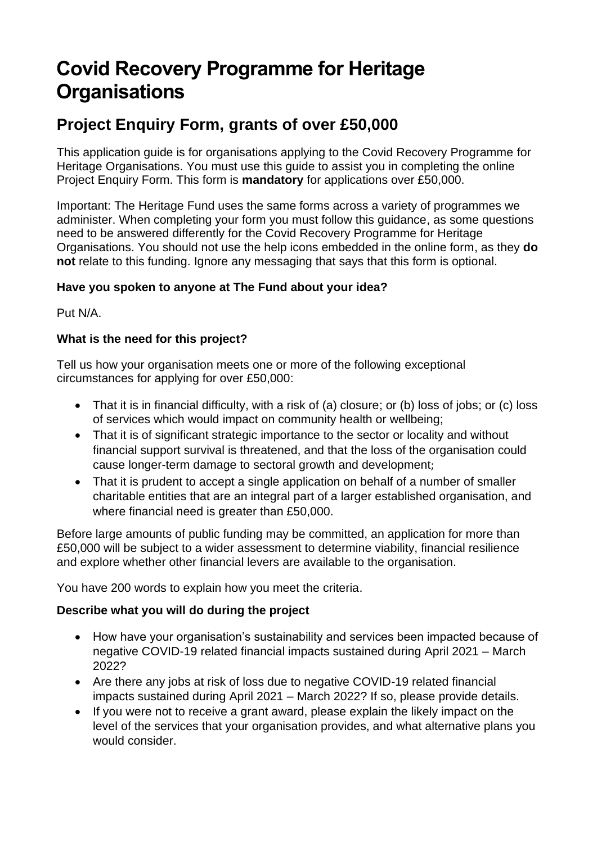# **Covid Recovery Programme for Heritage Organisations**

# **Project Enquiry Form, grants of over £50,000**

This application guide is for organisations applying to the Covid Recovery Programme for Heritage Organisations. You must use this guide to assist you in completing the online Project Enquiry Form. This form is **mandatory** for applications over £50,000.

Important: The Heritage Fund uses the same forms across a variety of programmes we administer. When completing your form you must follow this guidance, as some questions need to be answered differently for the Covid Recovery Programme for Heritage Organisations. You should not use the help icons embedded in the online form, as they **do not** relate to this funding. Ignore any messaging that says that this form is optional.

## **Have you spoken to anyone at The Fund about your idea?**

Put N/A.

## **What is the need for this project?**

Tell us how your organisation meets one or more of the following exceptional circumstances for applying for over £50,000:

- That it is in financial difficulty, with a risk of (a) closure; or (b) loss of jobs; or (c) loss of services which would impact on community health or wellbeing;
- That it is of significant strategic importance to the sector or locality and without financial support survival is threatened, and that the loss of the organisation could cause longer-term damage to sectoral growth and development;
- That it is prudent to accept a single application on behalf of a number of smaller charitable entities that are an integral part of a larger established organisation, and where financial need is greater than £50,000.

Before large amounts of public funding may be committed, an application for more than £50,000 will be subject to a wider assessment to determine viability, financial resilience and explore whether other financial levers are available to the organisation.

You have 200 words to explain how you meet the criteria.

#### **Describe what you will do during the project**

- How have your organisation's sustainability and services been impacted because of negative COVID-19 related financial impacts sustained during April 2021 – March 2022?
- Are there any jobs at risk of loss due to negative COVID-19 related financial impacts sustained during April 2021 – March 2022? If so, please provide details.
- If you were not to receive a grant award, please explain the likely impact on the level of the services that your organisation provides, and what alternative plans you would consider.